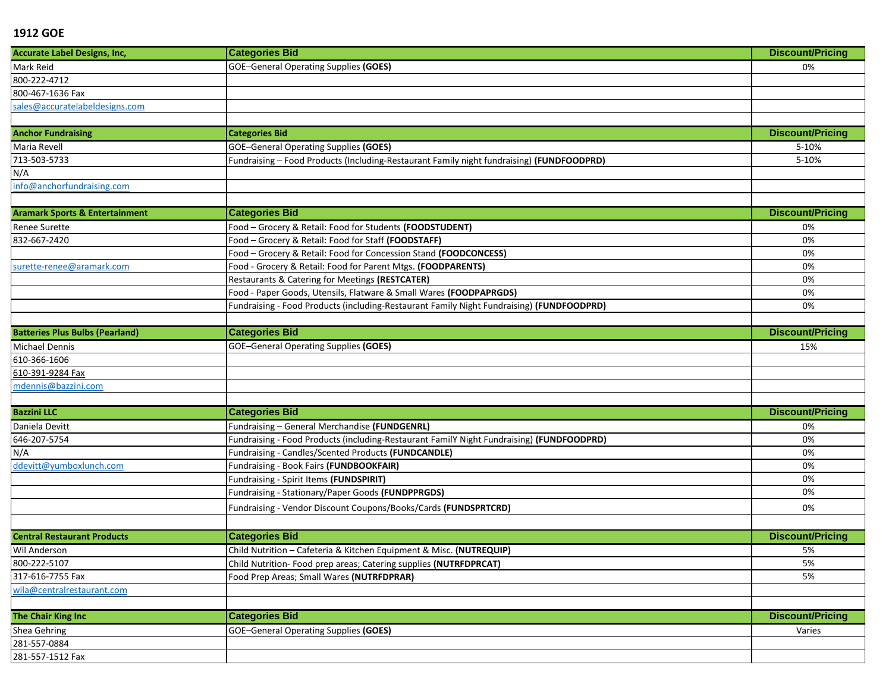| <b>Accurate Label Designs, Inc,</b>       | <b>Categories Bid</b>                                                                     | <b>Discount/Pricing</b> |
|-------------------------------------------|-------------------------------------------------------------------------------------------|-------------------------|
| Mark Reid                                 | <b>GOE-General Operating Supplies (GOES)</b>                                              | 0%                      |
| 800-222-4712                              |                                                                                           |                         |
| 800-467-1636 Fax                          |                                                                                           |                         |
| sales@accuratelabeldesigns.com            |                                                                                           |                         |
|                                           |                                                                                           |                         |
| <b>Anchor Fundraising</b>                 | <b>Categories Bid</b>                                                                     | <b>Discount/Pricing</b> |
| Maria Revell                              | <b>GOE-General Operating Supplies (GOES)</b>                                              | 5-10%                   |
| 713-503-5733                              | Fundraising - Food Products (Including-Restaurant Family night fundraising) (FUNDFOODPRD) | 5-10%                   |
| N/A                                       |                                                                                           |                         |
| info@anchorfundraising.com                |                                                                                           |                         |
|                                           |                                                                                           |                         |
| <b>Aramark Sports &amp; Entertainment</b> | <b>Categories Bid</b>                                                                     | <b>Discount/Pricing</b> |
| <b>Renee Surette</b>                      | Food - Grocery & Retail: Food for Students (FOODSTUDENT)                                  | 0%                      |
| 832-667-2420                              | Food - Grocery & Retail: Food for Staff (FOODSTAFF)                                       | 0%                      |
|                                           | Food - Grocery & Retail: Food for Concession Stand (FOODCONCESS)                          | 0%                      |
| surette-renee@aramark.com                 | Food - Grocery & Retail: Food for Parent Mtgs. (FOODPARENTS)                              | 0%                      |
|                                           | Restaurants & Catering for Meetings (RESTCATER)                                           | 0%                      |
|                                           | Food - Paper Goods, Utensils, Flatware & Small Wares (FOODPAPRGDS)                        | 0%                      |
|                                           | Fundraising - Food Products (including-Restaurant Family Night Fundraising) (FUNDFOODPRD) | 0%                      |
|                                           |                                                                                           |                         |
| <b>Batteries Plus Bulbs (Pearland)</b>    | <b>Categories Bid</b>                                                                     | <b>Discount/Pricing</b> |
| Michael Dennis                            | <b>GOE-General Operating Supplies (GOES)</b>                                              | 15%                     |
| 610-366-1606                              |                                                                                           |                         |
| 610-391-9284 Fax                          |                                                                                           |                         |
| mdennis@bazzini.com                       |                                                                                           |                         |
|                                           |                                                                                           |                         |
| <b>Bazzini LLC</b>                        | <b>Categories Bid</b>                                                                     | <b>Discount/Pricing</b> |
| Daniela Devitt                            | Fundraising - General Merchandise (FUNDGENRL)                                             | 0%                      |
| 646-207-5754                              | Fundraising - Food Products (including-Restaurant FamilY Night Fundraising) (FUNDFOODPRD) | 0%                      |
| N/A                                       | Fundraising - Candles/Scented Products (FUNDCANDLE)                                       | 0%                      |
| ddevitt@yumboxlunch.com                   | Fundraising - Book Fairs (FUNDBOOKFAIR)                                                   | 0%                      |
|                                           | Fundraising - Spirit Items (FUNDSPIRIT)                                                   | 0%                      |
|                                           | Fundraising - Stationary/Paper Goods (FUNDPPRGDS)                                         | 0%                      |
|                                           | Fundraising - Vendor Discount Coupons/Books/Cards (FUNDSPRTCRD)                           | 0%                      |
|                                           |                                                                                           |                         |
| <b>Central Restaurant Products</b>        | <b>Categories Bid</b>                                                                     | <b>Discount/Pricing</b> |
| Wil Anderson                              | Child Nutrition - Cafeteria & Kitchen Equipment & Misc. (NUTREQUIP)                       | 5%                      |
| 800-222-5107                              | Child Nutrition- Food prep areas; Catering supplies (NUTRFDPRCAT)                         | 5%                      |
| 317-616-7755 Fax                          | Food Prep Areas; Small Wares (NUTRFDPRAR)                                                 | 5%                      |
| wila@centralrestaurant.com                |                                                                                           |                         |
|                                           |                                                                                           |                         |
| The Chair King Inc                        | <b>Categories Bid</b>                                                                     | <b>Discount/Pricing</b> |
| Shea Gehring                              | <b>GOE-General Operating Supplies (GOES)</b>                                              | Varies                  |
| 281-557-0884                              |                                                                                           |                         |
| 281-557-1512 Fax                          |                                                                                           |                         |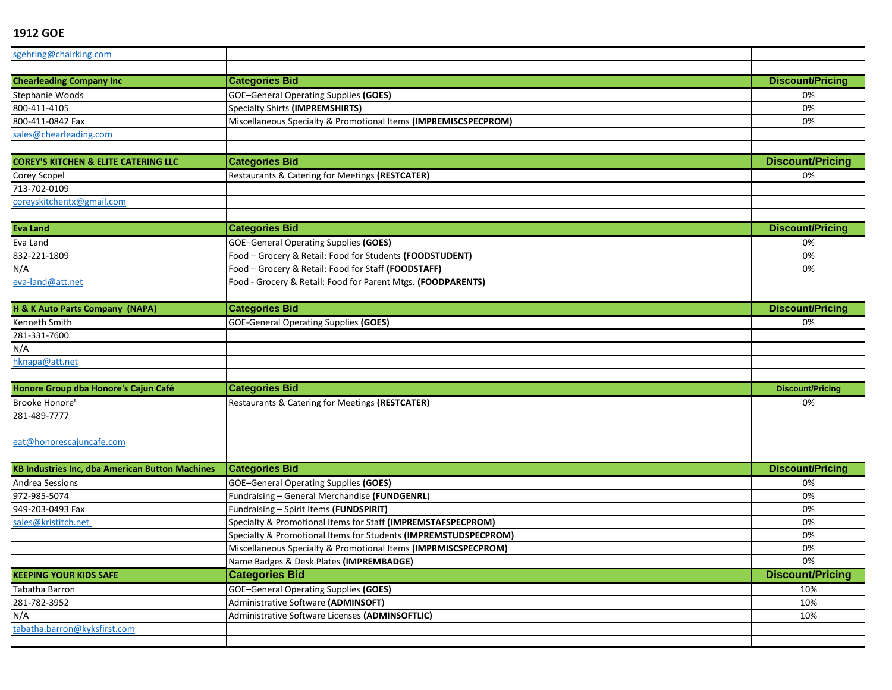| sgehring@chairking.com                                 |                                                                 |                         |
|--------------------------------------------------------|-----------------------------------------------------------------|-------------------------|
|                                                        |                                                                 |                         |
| <b>Chearleading Company Inc</b>                        | <b>Categories Bid</b>                                           | <b>Discount/Pricing</b> |
| Stephanie Woods                                        | GOE-General Operating Supplies (GOES)                           | 0%                      |
| 800-411-4105                                           | Specialty Shirts (IMPREMSHIRTS)                                 | 0%                      |
| 800-411-0842 Fax                                       | Miscellaneous Specialty & Promotional Items (IMPREMISCSPECPROM) | 0%                      |
| sales@chearleading.com                                 |                                                                 |                         |
|                                                        |                                                                 |                         |
| <b>COREY'S KITCHEN &amp; ELITE CATERING LLC</b>        | <b>Categories Bid</b>                                           | <b>Discount/Pricing</b> |
| Corey Scopel                                           | Restaurants & Catering for Meetings (RESTCATER)                 | 0%                      |
| 713-702-0109                                           |                                                                 |                         |
| coreyskitchentx@gmail.com                              |                                                                 |                         |
|                                                        |                                                                 |                         |
| <b>Eva Land</b>                                        | <b>Categories Bid</b>                                           | <b>Discount/Pricing</b> |
| Eva Land                                               | <b>GOE-General Operating Supplies (GOES)</b>                    | 0%                      |
| 832-221-1809                                           | Food - Grocery & Retail: Food for Students (FOODSTUDENT)        | 0%                      |
| N/A                                                    | Food - Grocery & Retail: Food for Staff (FOODSTAFF)             | 0%                      |
| eva-land@att.net                                       | Food - Grocery & Retail: Food for Parent Mtgs. (FOODPARENTS)    |                         |
|                                                        |                                                                 |                         |
| H & K Auto Parts Company (NAPA)                        | <b>Categories Bid</b>                                           | <b>Discount/Pricing</b> |
| Kenneth Smith                                          | <b>GOE-General Operating Supplies (GOES)</b>                    | 0%                      |
| 281-331-7600                                           |                                                                 |                         |
| N/A                                                    |                                                                 |                         |
| hknapa@att.net                                         |                                                                 |                         |
|                                                        |                                                                 |                         |
| Honore Group dba Honore's Cajun Café                   | <b>Categories Bid</b>                                           | <b>Discount/Pricing</b> |
| Brooke Honore'                                         | Restaurants & Catering for Meetings (RESTCATER)                 | 0%                      |
| 281-489-7777                                           |                                                                 |                         |
|                                                        |                                                                 |                         |
| eat@honorescajuncafe.com                               |                                                                 |                         |
|                                                        |                                                                 |                         |
| <b>KB Industries Inc, dba American Button Machines</b> | <b>Categories Bid</b>                                           | <b>Discount/Pricing</b> |
| Andrea Sessions                                        | <b>GOE-General Operating Supplies (GOES)</b>                    | 0%                      |
| 972-985-5074                                           | Fundraising - General Merchandise (FUNDGENRL)                   | 0%                      |
| 949-203-0493 Fax                                       | Fundraising - Spirit Items (FUNDSPIRIT)                         | 0%                      |
| sales@kristitch.net                                    | Specialty & Promotional Items for Staff (IMPREMSTAFSPECPROM)    | 0%                      |
|                                                        | Specialty & Promotional Items for Students (IMPREMSTUDSPECPROM) | 0%                      |
|                                                        | Miscellaneous Specialty & Promotional Items (IMPRMISCSPECPROM)  | 0%                      |
|                                                        | Name Badges & Desk Plates (IMPREMBADGE)                         | 0%                      |
| <b>KEEPING YOUR KIDS SAFE</b>                          | <b>Categories Bid</b>                                           | <b>Discount/Pricing</b> |
| Tabatha Barron                                         | <b>GOE-General Operating Supplies (GOES)</b>                    | 10%                     |
| 281-782-3952                                           | Administrative Software (ADMINSOFT)                             | 10%                     |
| N/A                                                    | Administrative Software Licenses (ADMINSOFTLIC)                 | 10%                     |
| tabatha.barron@kyksfirst.com                           |                                                                 |                         |
|                                                        |                                                                 |                         |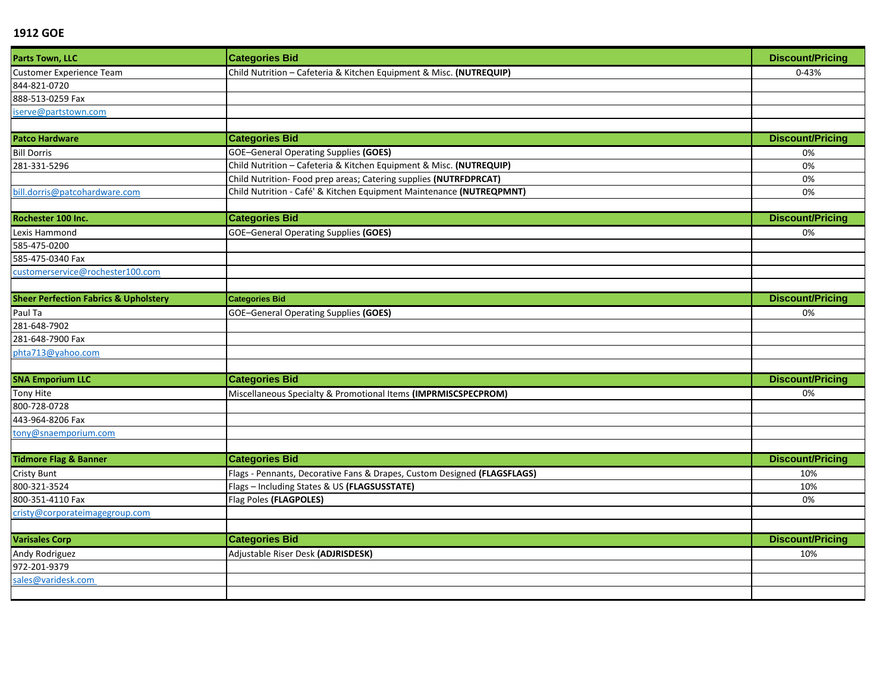| Parts Town, LLC                                  | <b>Categories Bid</b>                                                    | <b>Discount/Pricing</b> |
|--------------------------------------------------|--------------------------------------------------------------------------|-------------------------|
| Customer Experience Team                         | Child Nutrition - Cafeteria & Kitchen Equipment & Misc. (NUTREQUIP)      | $0 - 43%$               |
| 844-821-0720                                     |                                                                          |                         |
| 888-513-0259 Fax                                 |                                                                          |                         |
| iserve@partstown.com                             |                                                                          |                         |
|                                                  |                                                                          |                         |
| <b>Patco Hardware</b>                            | <b>Categories Bid</b>                                                    | <b>Discount/Pricing</b> |
| <b>Bill Dorris</b>                               | <b>GOE-General Operating Supplies (GOES)</b>                             | 0%                      |
| 281-331-5296                                     | Child Nutrition - Cafeteria & Kitchen Equipment & Misc. (NUTREQUIP)      | 0%                      |
|                                                  | Child Nutrition- Food prep areas; Catering supplies (NUTRFDPRCAT)        | 0%                      |
| bill.dorris@patcohardware.com                    | Child Nutrition - Café' & Kitchen Equipment Maintenance (NUTREQPMNT)     | 0%                      |
|                                                  |                                                                          |                         |
| Rochester 100 Inc.                               | <b>Categories Bid</b>                                                    | <b>Discount/Pricing</b> |
| Lexis Hammond                                    | <b>GOE-General Operating Supplies (GOES)</b>                             | 0%                      |
| 585-475-0200                                     |                                                                          |                         |
| 585-475-0340 Fax                                 |                                                                          |                         |
| customerservice@rochester100.com                 |                                                                          |                         |
|                                                  |                                                                          |                         |
| <b>Sheer Perfection Fabrics &amp; Upholstery</b> | <b>Categories Bid</b>                                                    | <b>Discount/Pricing</b> |
| Paul Ta                                          | <b>GOE-General Operating Supplies (GOES)</b>                             | 0%                      |
| 281-648-7902                                     |                                                                          |                         |
| 281-648-7900 Fax                                 |                                                                          |                         |
| phta713@yahoo.com                                |                                                                          |                         |
|                                                  |                                                                          |                         |
| <b>SNA Emporium LLC</b>                          | <b>Categories Bid</b>                                                    | <b>Discount/Pricing</b> |
| Tony Hite                                        | Miscellaneous Specialty & Promotional Items (IMPRMISCSPECPROM)           | 0%                      |
| 800-728-0728                                     |                                                                          |                         |
| 443-964-8206 Fax                                 |                                                                          |                         |
| tony@snaemporium.com                             |                                                                          |                         |
| <b>Tidmore Flag &amp; Banner</b>                 | <b>Categories Bid</b>                                                    | <b>Discount/Pricing</b> |
|                                                  |                                                                          |                         |
| <b>Cristy Bunt</b>                               | Flags - Pennants, Decorative Fans & Drapes, Custom Designed (FLAGSFLAGS) | 10%                     |
| 800-321-3524                                     | Flags - Including States & US (FLAGSUSSTATE)                             | 10%                     |
| 800-351-4110 Fax                                 | Flag Poles (FLAGPOLES)                                                   | 0%                      |
| cristy@corporateimagegroup.com                   |                                                                          |                         |
| <b>Varisales Corp</b>                            | <b>Categories Bid</b>                                                    | <b>Discount/Pricing</b> |
| Andy Rodriguez                                   | Adjustable Riser Desk (ADJRISDESK)                                       | 10%                     |
| 972-201-9379                                     |                                                                          |                         |
| sales@varidesk.com                               |                                                                          |                         |
|                                                  |                                                                          |                         |
|                                                  |                                                                          |                         |